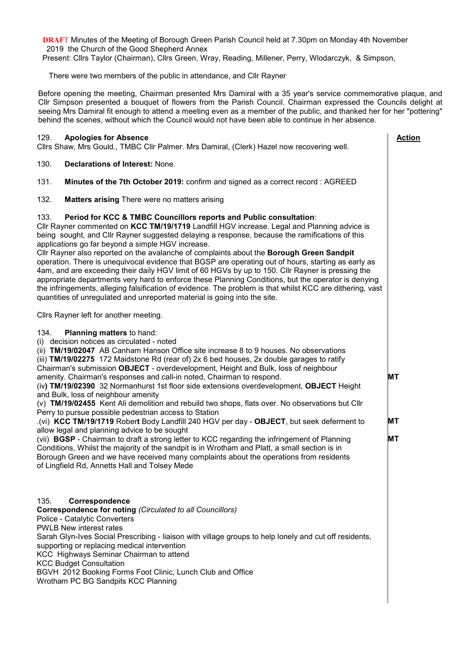**DRAF**T Minutes of the Meeting of Borough Green Parish Council held at 7.30pm on Monday 4th November 2019 the Church of the Good Shepherd Annex

Present: Cllrs Taylor (Chairman), Cllrs Green, Wray, Reading, Millener, Perry, Wlodarczyk, & Simpson,

There were two members of the public in attendance, and Cllr Rayner

Before opening the meeting, Chairman presented Mrs Damiral with a 35 year's service commemorative plaque, and Cllr Simpson presented a bouquet of flowers from the Parish Council. Chairman expressed the Councils delight at seeing Mrs Damiral fit enough to attend a meeting even as a member of the public, and thanked her for her "pottering" behind the scenes, without which the Council would not have been able to continue in her absence.

 **Action**

**MT**

**MT**

**MT**

#### 129. **Apologies for Absence**

Cllrs Shaw, Mrs Gould., TMBC Cllr Palmer. Mrs Damiral, (Clerk) Hazel now recovering well.

- 130. **Declarations of Interest:** None.
- 131. **Minutes of the 7th October 2019:** confirm and signed as a correct record : AGREED
- 132. **Matters arising** There were no matters arising

#### 133. **Period for KCC & TMBC Councillors reports and Public consultation**:

Cllr Rayner commented on **KCC TM/19/1719** Landfill HGV increase. Legal and Planning advice is being sought, and Cllr Rayner suggested delaying a response, because the ramifications of this applications go far beyond a simple HGV increase.

Cllr Rayner also reported on the avalanche of complaints about the **Borough Green Sandpit** operation. There is unequivocal evidence that BGSP are operating out of hours, starting as early as 4am, and are exceeding their daily HGV limit of 60 HGVs by up to 150. Cllr Rayner is pressing the appropriate departments very hard to enforce these Planning Conditions, but the operator is denying the infringements, alleging falsification of evidence. The problem is that whilst KCC are dithering, vast quantities of unregulated and unreported material is going into the site.

Cllrs Rayner left for another meeting.

| 134. | <b>Planning matters to hand:</b> |  |  |
|------|----------------------------------|--|--|
|------|----------------------------------|--|--|

(i) decision notices as circulated - noted

(ii) **TM/19/02047** AB Canham Hanson Office site increase 8 to 9 houses. No observations

(iii) **TM/19/02275** 172 Maidstone Rd (rear of) 2x 6 bed houses, 2x double garages to ratify Chairman's submission **OBJECT** - overdevelopment, Height and Bulk, loss of neighbour

amenity. Chairman's responses and call-in noted, Chairman to respond.

(iv**) TM/19/02390** 32 Normanhurst 1st floor side extensions overdevelopment, **OBJECT** Height and Bulk, loss of neighbour amenity

(v) **TM/19/02455** Kent Ali demolition and rebuild two shops, flats over. No observations but Cllr Perry to pursue possible pedestrian access to Station

.(vi) **KCC TM/19/1719** Rober**t** Body Landfill 240 HGV per day - **OBJECT**, but seek deferment to allow legal and planning advice to be sought

(vii) **BGSP** - Chairman to draft a strong letter to KCC regarding the infringement of Planning Conditions, Whilst the majority of the sandpit is in Wrotham and Platt, a small section is in Borough Green and we have received many complaints about the operations from residents of Lingfield Rd, Annetts Hall and Tolsey Mede

#### 135. **Correspondence**

**Correspondence for noting** *(Circulated to all Councillors)* Police - Catalytic Converters PWLB New interest rates Sarah Glyn-Ives Social Prescribing - liaison with village groups to help lonely and cut off residents, supporting or replacing medical intervention KCC Highways Seminar Chairman to attend KCC Budget Consultation BGVH 2012 Booking Forms Foot Clinic, Lunch Club and Office Wrotham PC BG Sandpits KCC Planning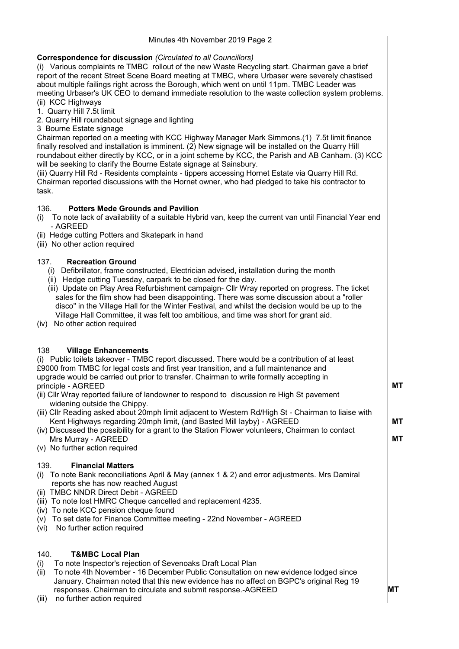## **Correspondence for discussion** *(Circulated to all Councillors)*

(i) Various complaints re TMBC rollout of the new Waste Recycling start. Chairman gave a brief report of the recent Street Scene Board meeting at TMBC, where Urbaser were severely chastised about multiple failings right across the Borough, which went on until 11pm. TMBC Leader was meeting Urbaser's UK CEO to demand immediate resolution to the waste collection system problems. (ii) KCC Highways

1. Quarry Hill 7.5t limit

2. Quarry Hill roundabout signage and lighting

3 Bourne Estate signage

| 3 Bourne Estate signage<br>Chairman reported on a meeting with KCC Highway Manager Mark Simmons.(1) 7.5t limit finance<br>finally resolved and installation is imminent. (2) New signage will be installed on the Quarry Hill<br>roundabout either directly by KCC, or in a joint scheme by KCC, the Parish and AB Canham. (3) KCC<br>will be seeking to clarify the Bourne Estate signage at Sainsbury.<br>(iii) Quarry Hill Rd - Residents complaints - tippers accessing Hornet Estate via Quarry Hill Rd.<br>Chairman reported discussions with the Hornet owner, who had pledged to take his contractor to<br>task.    |  |  |  |  |
|-----------------------------------------------------------------------------------------------------------------------------------------------------------------------------------------------------------------------------------------------------------------------------------------------------------------------------------------------------------------------------------------------------------------------------------------------------------------------------------------------------------------------------------------------------------------------------------------------------------------------------|--|--|--|--|
| <b>Potters Mede Grounds and Pavilion</b><br>136.<br>To note lack of availability of a suitable Hybrid van, keep the current van until Financial Year end<br>(i)<br>- AGREED<br>(ii) Hedge cutting Potters and Skatepark in hand<br>(iii) No other action required                                                                                                                                                                                                                                                                                                                                                           |  |  |  |  |
| <b>Recreation Ground</b><br>137.<br>Defibrillator, frame constructed, Electrician advised, installation during the month<br>(i)<br>(ii) Hedge cutting Tuesday, carpark to be closed for the day.<br>(iii) Update on Play Area Refurbishment campaign- Cllr Wray reported on progress. The ticket<br>sales for the film show had been disappointing. There was some discussion about a "roller<br>disco" in the Village Hall for the Winter Festival, and whilst the decision would be up to the<br>Village Hall Committee, it was felt too ambitious, and time was short for grant aid.<br>No other action required<br>(iv) |  |  |  |  |
| 138<br><b>Village Enhancements</b><br>(i) Public toilets takeover - TMBC report discussed. There would be a contribution of at least<br>£9000 from TMBC for legal costs and first year transition, and a full maintenance and<br>upgrade would be carried out prior to transfer. Chairman to write formally accepting in                                                                                                                                                                                                                                                                                                    |  |  |  |  |

principle - AGREED

- (ii) Cllr Wray reported failure of landowner to respond to discussion re High St pavement widening outside the Chippy.
- (iii) Cllr Reading asked about 20mph limit adjacent to Western Rd/High St Chairman to liaise with Kent Highways regarding 20mph limit, (and Basted Mill layby) - AGREED

(iv) Discussed the possibility for a grant to the Station Flower volunteers, Chairman to contact Mrs Murray - AGREED

(v) No further action required

## 139. **Financial Matters**

- (i) To note Bank reconciliations April & May (annex 1 & 2) and error adjustments. Mrs Damiral reports she has now reached August
- (ii) TMBC NNDR Direct Debit AGREED
- (iii) To note lost HMRC Cheque cancelled and replacement 4235.
- (iv) To note KCC pension cheque found
- (v) To set date for Finance Committee meeting 22nd November AGREED
- (vi) No further action required

## 140. **T&MBC Local Plan**

(i) To note Inspector's rejection of Sevenoaks Draft Local Plan

(ii) To note 4th November - 16 December Public Consultation on new evidence lodged since January. Chairman noted that this new evidence has no affect on BGPC's original Reg 19 responses. Chairman to circulate and submit response.-AGREED

(iii) no further action required

 $\overline{\phantom{a}}$ 

**MT**

**MT**

**MT**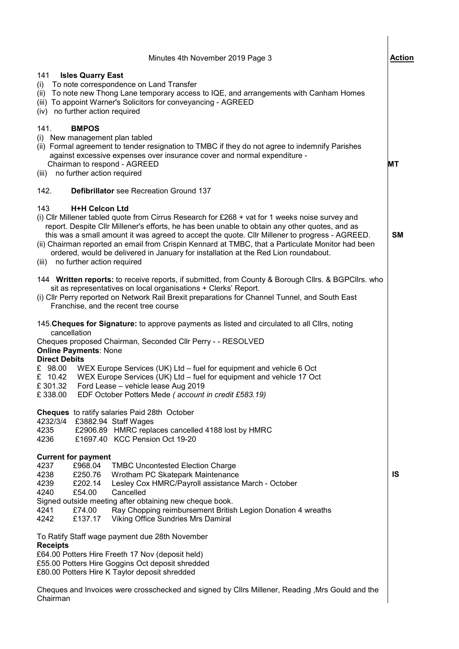| Minutes 4th November 2019 Page 3                                                                                                                                                                                                                                                                                                                                                                                                                                                                                                                                    | <b>Action</b> |
|---------------------------------------------------------------------------------------------------------------------------------------------------------------------------------------------------------------------------------------------------------------------------------------------------------------------------------------------------------------------------------------------------------------------------------------------------------------------------------------------------------------------------------------------------------------------|---------------|
| 141<br><b>Isles Quarry East</b><br>(i) To note correspondence on Land Transfer<br>(ii) To note new Thong Lane temporary access to IQE, and arrangements with Canham Homes<br>(iii) To appoint Warner's Solicitors for conveyancing - AGREED<br>(iv) no further action required                                                                                                                                                                                                                                                                                      |               |
| 141.<br><b>BMPOS</b><br>(i) New management plan tabled<br>(ii) Formal agreement to tender resignation to TMBC if they do not agree to indemnify Parishes<br>against excessive expenses over insurance cover and normal expenditure -<br>Chairman to respond - AGREED<br>no further action required<br>(iii)                                                                                                                                                                                                                                                         | МT            |
| 142.<br><b>Defibrillator</b> see Recreation Ground 137                                                                                                                                                                                                                                                                                                                                                                                                                                                                                                              |               |
| <b>H+H Celcon Ltd</b><br>143<br>(i) Cllr Millener tabled quote from Cirrus Research for £268 + vat for 1 weeks noise survey and<br>report. Despite CIIr Millener's efforts, he has been unable to obtain any other quotes, and as<br>this was a small amount it was agreed to accept the quote. Cllr Millener to progress - AGREED.<br>(ii) Chairman reported an email from Crispin Kennard at TMBC, that a Particulate Monitor had been<br>ordered, would be delivered in January for installation at the Red Lion roundabout.<br>(iii) no further action required | <b>SM</b>     |
| 144 Written reports: to receive reports, if submitted, from County & Borough Cllrs. & BGPCllrs. who<br>sit as representatives on local organisations + Clerks' Report.<br>(i) Cllr Perry reported on Network Rail Brexit preparations for Channel Tunnel, and South East<br>Franchise, and the recent tree course                                                                                                                                                                                                                                                   |               |
| 145. Cheques for Signature: to approve payments as listed and circulated to all Cllrs, noting<br>cancellation<br>Cheques proposed Chairman, Seconded Cllr Perry - - RESOLVED<br><b>Online Payments: None</b><br><b>Direct Debits</b><br>WEX Europe Services (UK) Ltd - fuel for equipment and vehicle 6 Oct<br>£ 98.00<br>£ 10.42 WEX Europe Services (UK) Ltd - fuel for equipment and vehicle 17 Oct<br>£301.32<br>Ford Lease - vehicle lease Aug 2019<br>£338.00<br>EDF October Potters Mede (account in credit £583.19)                                         |               |
| <b>Cheques</b> to ratify salaries Paid 28th October<br>4232/3/4 £3882.94 Staff Wages<br>4235<br>£2906.89 HMRC replaces cancelled 4188 lost by HMRC<br>£1697.40 KCC Pension Oct 19-20<br>4236                                                                                                                                                                                                                                                                                                                                                                        |               |
| <b>Current for payment</b><br>4237<br>£968.04<br><b>TMBC Uncontested Election Charge</b><br>4238<br>£250.76<br>Wrotham PC Skatepark Maintenance<br>4239<br>£202.14<br>Lesley Cox HMRC/Payroll assistance March - October<br>4240<br>£54.00<br>Cancelled<br>Signed outside meeting after obtaining new cheque book.<br>4241<br>£74.00<br>Ray Chopping reimbursement British Legion Donation 4 wreaths<br>£137.17<br><b>Viking Office Sundries Mrs Damiral</b><br>4242                                                                                                | IS            |
| To Ratify Staff wage payment due 28th November<br><b>Receipts</b><br>£64.00 Potters Hire Freeth 17 Nov (deposit held)<br>£55.00 Potters Hire Goggins Oct deposit shredded<br>£80.00 Potters Hire K Taylor deposit shredded<br>Cheques and Invoices were crosschecked and signed by Cllrs Millener, Reading , Mrs Gould and the<br>Chairman                                                                                                                                                                                                                          |               |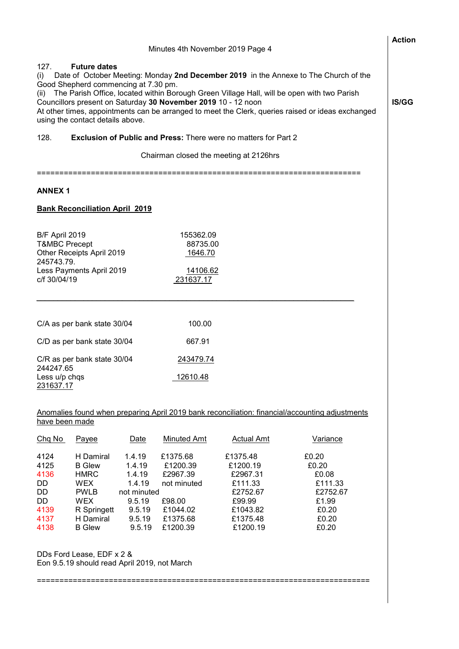|                                                                                                                                                                                                                                                                                                                                                                                                                                                                                 |                                                                                                                                   |                                                                                             | Minutes 4th November 2019 Page 4                                                              |                                                                                                       |                                                                                                 | <b>Action</b> |
|---------------------------------------------------------------------------------------------------------------------------------------------------------------------------------------------------------------------------------------------------------------------------------------------------------------------------------------------------------------------------------------------------------------------------------------------------------------------------------|-----------------------------------------------------------------------------------------------------------------------------------|---------------------------------------------------------------------------------------------|-----------------------------------------------------------------------------------------------|-------------------------------------------------------------------------------------------------------|-------------------------------------------------------------------------------------------------|---------------|
| 127.<br><b>Future dates</b><br>Date of October Meeting: Monday 2nd December 2019 in the Annexe to The Church of the<br>(i)<br>Good Shepherd commencing at 7.30 pm.<br>(ii) The Parish Office, located within Borough Green Village Hall, will be open with two Parish<br>Councillors present on Saturday 30 November 2019 10 - 12 noon<br>At other times, appointments can be arranged to meet the Clerk, queries raised or ideas exchanged<br>using the contact details above. |                                                                                                                                   |                                                                                             |                                                                                               |                                                                                                       |                                                                                                 | IS/GG         |
| 128.                                                                                                                                                                                                                                                                                                                                                                                                                                                                            |                                                                                                                                   |                                                                                             |                                                                                               | <b>Exclusion of Public and Press: There were no matters for Part 2</b>                                |                                                                                                 |               |
|                                                                                                                                                                                                                                                                                                                                                                                                                                                                                 |                                                                                                                                   |                                                                                             |                                                                                               | Chairman closed the meeting at 2126hrs                                                                |                                                                                                 |               |
| <b>ANNEX1</b>                                                                                                                                                                                                                                                                                                                                                                                                                                                                   |                                                                                                                                   |                                                                                             |                                                                                               |                                                                                                       |                                                                                                 |               |
|                                                                                                                                                                                                                                                                                                                                                                                                                                                                                 | <b>Bank Reconciliation April 2019</b>                                                                                             |                                                                                             |                                                                                               |                                                                                                       |                                                                                                 |               |
| B/F April 2019<br><b>T&amp;MBC Precept</b><br>245743.79.<br>c/f 30/04/19                                                                                                                                                                                                                                                                                                                                                                                                        | Other Receipts April 2019<br>Less Payments April 2019                                                                             |                                                                                             | 155362.09<br>88735.00<br>1646.70<br>14106.62<br>231637.17                                     |                                                                                                       |                                                                                                 |               |
|                                                                                                                                                                                                                                                                                                                                                                                                                                                                                 | C/A as per bank state 30/04                                                                                                       |                                                                                             | 100.00                                                                                        |                                                                                                       |                                                                                                 |               |
|                                                                                                                                                                                                                                                                                                                                                                                                                                                                                 | C/D as per bank state 30/04                                                                                                       |                                                                                             | 667.91                                                                                        |                                                                                                       |                                                                                                 |               |
| 244247.65<br>Less u/p chqs<br>231637.17                                                                                                                                                                                                                                                                                                                                                                                                                                         | C/R as per bank state 30/04                                                                                                       |                                                                                             | <u>243479.74</u><br>12610.48                                                                  |                                                                                                       |                                                                                                 |               |
|                                                                                                                                                                                                                                                                                                                                                                                                                                                                                 |                                                                                                                                   |                                                                                             |                                                                                               |                                                                                                       | Anomalies found when preparing April 2019 bank reconciliation: financial/accounting adjustments |               |
| have been made                                                                                                                                                                                                                                                                                                                                                                                                                                                                  |                                                                                                                                   |                                                                                             |                                                                                               |                                                                                                       |                                                                                                 |               |
| Chq No                                                                                                                                                                                                                                                                                                                                                                                                                                                                          | Payee                                                                                                                             | Date                                                                                        | <b>Minuted Amt</b>                                                                            | <b>Actual Amt</b>                                                                                     | Variance                                                                                        |               |
| 4124<br>4125<br>4136<br>DD<br>DD<br>DD<br>4139<br>4137<br>4138                                                                                                                                                                                                                                                                                                                                                                                                                  | H Damiral<br><b>B</b> Glew<br><b>HMRC</b><br><b>WEX</b><br><b>PWLB</b><br><b>WEX</b><br>R Springett<br>H Damiral<br><b>B</b> Glew | 1.4.19<br>1.4.19<br>1.4.19<br>1.4.19<br>not minuted<br>9.5.19<br>9.5.19<br>9.5.19<br>9.5.19 | £1375.68<br>£1200.39<br>£2967.39<br>not minuted<br>£98.00<br>£1044.02<br>£1375.68<br>£1200.39 | £1375.48<br>£1200.19<br>£2967.31<br>£111.33<br>£2752.67<br>£99.99<br>£1043.82<br>£1375.48<br>£1200.19 | £0.20<br>£0.20<br>£0.08<br>£111.33<br>£2752.67<br>£1.99<br>£0.20<br>£0.20<br>£0.20              |               |
|                                                                                                                                                                                                                                                                                                                                                                                                                                                                                 | DDs Ford Lease, EDF x 2 &<br>Eon 9.5.19 should read April 2019, not March                                                         |                                                                                             |                                                                                               |                                                                                                       |                                                                                                 |               |
|                                                                                                                                                                                                                                                                                                                                                                                                                                                                                 |                                                                                                                                   |                                                                                             |                                                                                               |                                                                                                       |                                                                                                 |               |